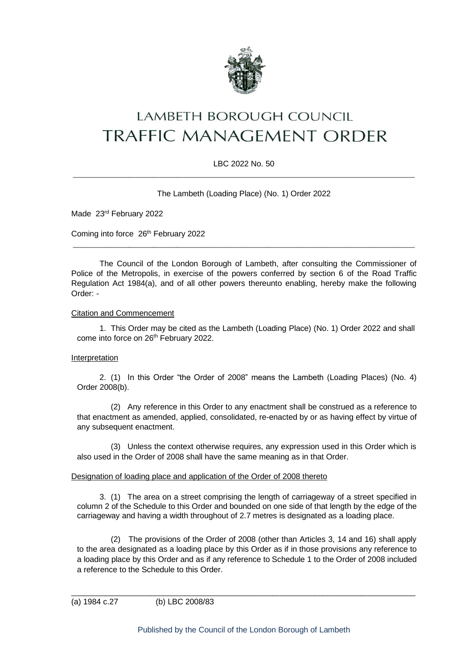

# **LAMBETH BOROUGH COUNCIL** TRAFFIC MANAGEMENT ORDER

# LBC 2022 No. 50  $\_$  ,  $\_$  ,  $\_$  ,  $\_$  ,  $\_$  ,  $\_$  ,  $\_$  ,  $\_$  ,  $\_$  ,  $\_$  ,  $\_$  ,  $\_$  ,  $\_$  ,  $\_$  ,  $\_$  ,  $\_$  ,  $\_$  ,  $\_$  ,  $\_$  ,  $\_$  ,  $\_$  ,  $\_$  ,  $\_$  ,  $\_$  ,  $\_$  ,  $\_$  ,  $\_$  ,  $\_$  ,  $\_$  ,  $\_$  ,  $\_$  ,  $\_$  ,  $\_$  ,  $\_$  ,  $\_$  ,  $\_$  ,  $\_$  ,

The Lambeth (Loading Place) (No. 1) Order 2022

Made 23rd February 2022

Coming into force 26<sup>th</sup> February 2022

The Council of the London Borough of Lambeth, after consulting the Commissioner of Police of the Metropolis, in exercise of the powers conferred by section 6 of the Road Traffic Regulation Act 1984(a), and of all other powers thereunto enabling, hereby make the following Order: -

 $\_$  ,  $\_$  ,  $\_$  ,  $\_$  ,  $\_$  ,  $\_$  ,  $\_$  ,  $\_$  ,  $\_$  ,  $\_$  ,  $\_$  ,  $\_$  ,  $\_$  ,  $\_$  ,  $\_$  ,  $\_$  ,  $\_$  ,  $\_$  ,  $\_$  ,  $\_$  ,  $\_$  ,  $\_$  ,  $\_$  ,  $\_$  ,  $\_$  ,  $\_$  ,  $\_$  ,  $\_$  ,  $\_$  ,  $\_$  ,  $\_$  ,  $\_$  ,  $\_$  ,  $\_$  ,  $\_$  ,  $\_$  ,  $\_$  ,

## Citation and Commencement

1. This Order may be cited as the Lambeth (Loading Place) (No. 1) Order 2022 and shall come into force on 26th February 2022.

## Interpretation

2. (1) In this Order "the Order of 2008" means the Lambeth (Loading Places) (No. 4) Order 2008(b).

(2) Any reference in this Order to any enactment shall be construed as a reference to that enactment as amended, applied, consolidated, re-enacted by or as having effect by virtue of any subsequent enactment.

(3) Unless the context otherwise requires, any expression used in this Order which is also used in the Order of 2008 shall have the same meaning as in that Order.

#### Designation of loading place and application of the Order of 2008 thereto

3. (1) The area on a street comprising the length of carriageway of a street specified in column 2 of the Schedule to this Order and bounded on one side of that length by the edge of the carriageway and having a width throughout of 2.7 metres is designated as a loading place.

(2) The provisions of the Order of 2008 (other than Articles 3, 14 and 16) shall apply to the area designated as a loading place by this Order as if in those provisions any reference to a loading place by this Order and as if any reference to Schedule 1 to the Order of 2008 included a reference to the Schedule to this Order.

(a) 1984 c.27 (b) LBC 2008/83

 $\_$  ,  $\_$  ,  $\_$  ,  $\_$  ,  $\_$  ,  $\_$  ,  $\_$  ,  $\_$  ,  $\_$  ,  $\_$  ,  $\_$  ,  $\_$  ,  $\_$  ,  $\_$  ,  $\_$  ,  $\_$  ,  $\_$  ,  $\_$  ,  $\_$  ,  $\_$  ,  $\_$  ,  $\_$  ,  $\_$  ,  $\_$  ,  $\_$  ,  $\_$  ,  $\_$  ,  $\_$  ,  $\_$  ,  $\_$  ,  $\_$  ,  $\_$  ,  $\_$  ,  $\_$  ,  $\_$  ,  $\_$  ,  $\_$  ,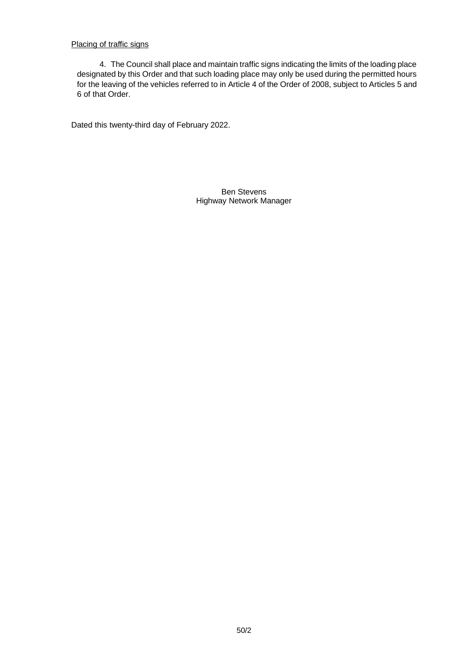# Placing of traffic signs

4. The Council shall place and maintain traffic signs indicating the limits of the loading place designated by this Order and that such loading place may only be used during the permitted hours for the leaving of the vehicles referred to in Article 4 of the Order of 2008, subject to Articles 5 and 6 of that Order.

Dated this twenty-third day of February 2022.

Ben Stevens Highway Network Manager